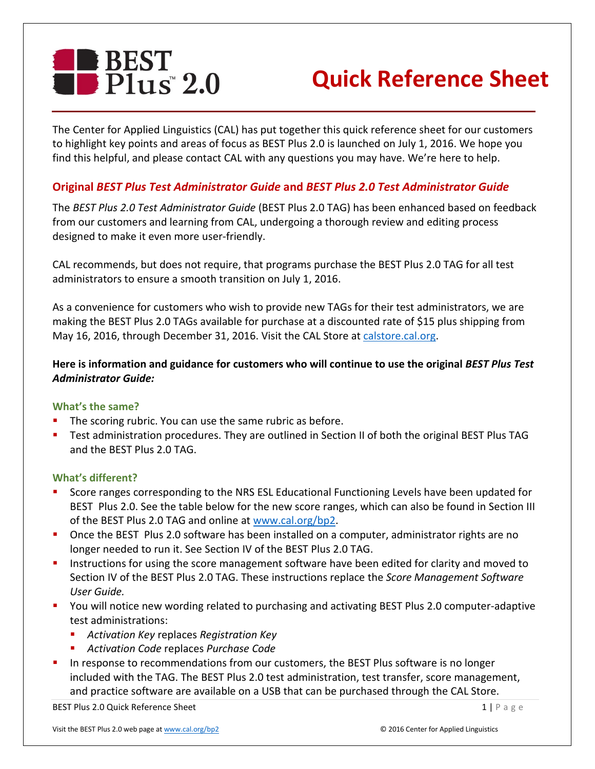

# **Quick Reference Sheet**

The Center for Applied Linguistics (CAL) has put together this quick reference sheet for our customers to highlight key points and areas of focus as BEST Plus 2.0 is launched on July 1, 2016. We hope you find this helpful, and please contact CAL with any questions you may have. We're here to help.

## **Original** *BEST Plus Test Administrator Guide* **and** *BEST Plus 2.0 Test Administrator Guide*

The *BEST Plus 2.0 Test Administrator Guide* (BEST Plus 2.0 TAG) has been enhanced based on feedback from our customers and learning from CAL, undergoing a thorough review and editing process designed to make it even more user-friendly.

CAL recommends, but does not require, that programs purchase the BEST Plus 2.0 TAG for all test administrators to ensure a smooth transition on July 1, 2016.

As a convenience for customers who wish to provide new TAGs for their test administrators, we are making the BEST Plus 2.0 TAGs available for purchase at a discounted rate of \$15 plus shipping from May 16, 2016, through December 31, 2016. Visit the CAL Store at [calstore.cal.org.](http://calstore.cal.org/)

## **Here is information and guidance for customers who will continue to use the original** *BEST Plus Test Administrator Guide:*

## **What's the same?**

- The scoring rubric. You can use the same rubric as before.
- Test administration procedures. They are outlined in Section II of both the original BEST Plus TAG and the BEST Plus 2.0 TAG.

## **What's different?**

- Score ranges corresponding to the NRS ESL Educational Functioning Levels have been updated for BEST Plus 2.0. See the table below for the new score ranges, which can also be found in Section III of the BEST Plus 2.0 TAG and online at [www.cal.org/bp2.](http://www.cal.org/bp2)
- Once the BEST Plus 2.0 software has been installed on a computer, administrator rights are no longer needed to run it. See Section IV of the BEST Plus 2.0 TAG.
- Instructions for using the score management software have been edited for clarity and moved to Section IV of the BEST Plus 2.0 TAG. These instructions replace the *Score Management Software User Guide.*
- You will notice new wording related to purchasing and activating BEST Plus 2.0 computer-adaptive test administrations:
	- *Activation Key* replaces *Registration Key*
	- *Activation Code* replaces *Purchase Code*
- In response to recommendations from our customers, the BEST Plus software is no longer included with the TAG. The BEST Plus 2.0 test administration, test transfer, score management, and practice software are available on a USB that can be purchased through the CAL Store.

BEST Plus 2.0 Quick Reference Sheet 1 | Page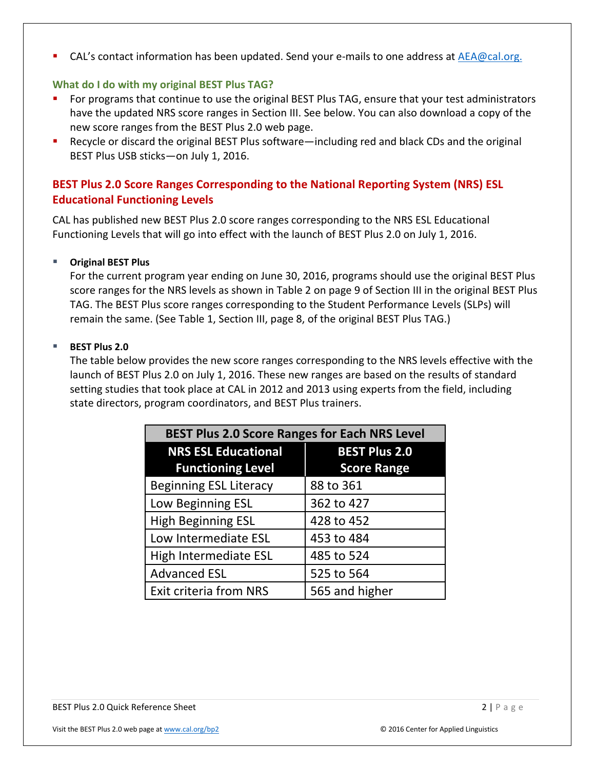CAL's contact information has been updated. Send your e-mails to one address at [AEA@cal.org.](mailto:AEA@cal.org)

## **What do I do with my original BEST Plus TAG?**

- For programs that continue to use the original BEST Plus TAG, ensure that your test administrators have the updated NRS score ranges in Section III. See below. You can also download a copy of the new score ranges from the BEST Plus 2.0 web page.
- Recycle or discard the original BEST Plus software—including red and black CDs and the original BEST Plus USB sticks—on July 1, 2016.

## **BEST Plus 2.0 Score Ranges Corresponding to the National Reporting System (NRS) ESL Educational Functioning Levels**

CAL has published new BEST Plus 2.0 score ranges corresponding to the NRS ESL Educational Functioning Levels that will go into effect with the launch of BEST Plus 2.0 on July 1, 2016.

## **Original BEST Plus**

For the current program year ending on June 30, 2016, programs should use the original BEST Plus score ranges for the NRS levels as shown in Table 2 on page 9 of Section III in the original BEST Plus TAG. The BEST Plus score ranges corresponding to the Student Performance Levels (SLPs) will remain the same. (See Table 1, Section III, page 8, of the original BEST Plus TAG.)

## **BEST Plus 2.0**

The table below provides the new score ranges corresponding to the NRS levels effective with the launch of BEST Plus 2.0 on July 1, 2016. These new ranges are based on the results of standard setting studies that took place at CAL in 2012 and 2013 using experts from the field, including state directors, program coordinators, and BEST Plus trainers.

| <b>BEST Plus 2.0 Score Ranges for Each NRS Level</b> |                      |
|------------------------------------------------------|----------------------|
| <b>NRS ESL Educational</b>                           | <b>BEST Plus 2.0</b> |
| <b>Functioning Level</b>                             | <b>Score Range</b>   |
| <b>Beginning ESL Literacy</b>                        | 88 to 361            |
| Low Beginning ESL                                    | 362 to 427           |
| <b>High Beginning ESL</b>                            | 428 to 452           |
| Low Intermediate ESL                                 | 453 to 484           |
| High Intermediate ESL                                | 485 to 524           |
| <b>Advanced ESL</b>                                  | 525 to 564           |
| <b>Exit criteria from NRS</b>                        | 565 and higher       |